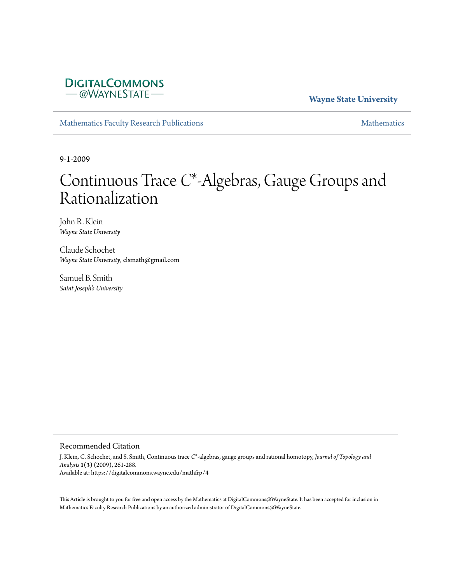# **DIGITALCOMMONS** - @WAYNESTATE-

## **Wayne State University**

[Mathematics Faculty Research Publications](https://digitalcommons.wayne.edu/mathfrp) and the mathematics of the [Mathematics](https://digitalcommons.wayne.edu/math) Mathematics Mathematics of the Mathematics of the Mathematics of the Mathematics of the Mathematics of the Mathematics of the Mathematics of

9-1-2009

# Continuous Trace *C*\*-Algebras, Gauge Groups and Rationalization

John R. Klein *Wayne State University*

Claude Schochet *Wayne State University*, clsmath@gmail.com

Samuel B. Smith *Saint Joseph's University*

#### Recommended Citation

J. Klein, C. Schochet, and S. Smith, Continuous trace *C*\*-algebras, gauge groups and rational homotopy, *Journal of Topology and Analysis* **1(3)** (2009), 261-288. Available at: https://digitalcommons.wayne.edu/mathfrp/4

This Article is brought to you for free and open access by the Mathematics at DigitalCommons@WayneState. It has been accepted for inclusion in Mathematics Faculty Research Publications by an authorized administrator of DigitalCommons@WayneState.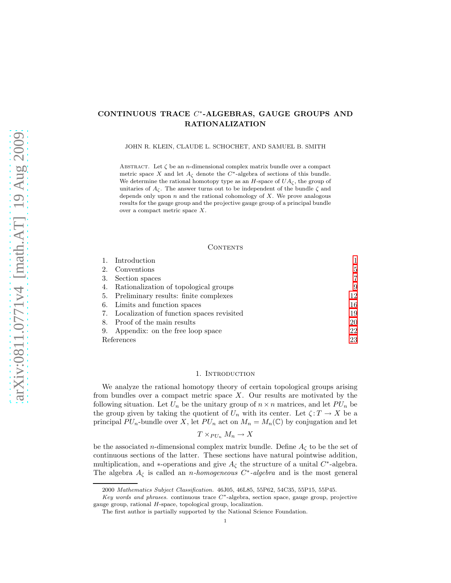### CONTINUOUS TRACE C ∗ -ALGEBRAS, GAUGE GROUPS AND RATIONALIZATION

JOHN R. KLEIN, CLAUDE L. SCHOCHET, AND SAMUEL B. SMITH

ABSTRACT. Let  $\zeta$  be an *n*-dimensional complex matrix bundle over a compact metric space X and let  $A_{\zeta}$  denote the  $C^*$ -algebra of sections of this bundle. We determine the rational homotopy type as an H-space of  $UA_{\zeta}$ , the group of unitaries of  $A_{\zeta}$ . The answer turns out to be independent of the bundle  $\zeta$  and depends only upon  $n$  and the rational cohomology of  $X$ . We prove analogous results for the gauge group and the projective gauge group of a principal bundle over a compact metric space X.

#### CONTENTS

|            | Introduction                              |    |
|------------|-------------------------------------------|----|
| 2.         | Conventions                               | 5  |
| 3.         | Section spaces                            |    |
| 4.         | Rationalization of topological groups     | 9  |
| 5.         | Preliminary results: finite complexes     | 12 |
|            | 6. Limits and function spaces             | 16 |
| 7.         | Localization of function spaces revisited | 19 |
| 8.         | Proof of the main results                 | 20 |
| 9.         | Appendix: on the free loop space          | 22 |
| References |                                           | 23 |

#### 1. INTRODUCTION

<span id="page-1-0"></span>We analyze the rational homotopy theory of certain topological groups arising from bundles over a compact metric space  $X$ . Our results are motivated by the following situation. Let  $U_n$  be the unitary group of  $n \times n$  matrices, and let  $PU_n$  be the group given by taking the quotient of  $U_n$  with its center. Let  $\zeta: T \to X$  be a principal  $PU_n$ -bundle over X, let  $PU_n$  act on  $M_n = M_n(\mathbb{C})$  by conjugation and let

$$
T \times_{PU_n} M_n \to X
$$

be the associated n-dimensional complex matrix bundle. Define  $A_{\zeta}$  to be the set of continuous sections of the latter. These sections have natural pointwise addition, multiplication, and ∗-operations and give  $A_{\zeta}$  the structure of a unital  $C^*$ -algebra. The algebra  $A_{\zeta}$  is called an *n-homogeneous*  $C^*$ -algebra and is the most general

<sup>2000</sup> *Mathematics Subject Classification.* 46J05, 46L85, 55P62, 54C35, 55P15, 55P45.

*Key words and phrases.* continuous trace C<sup>∗</sup> -algebra, section space, gauge group, projective gauge group, rational H-space, topological group, localization.

The first author is partially supported by the National Science Foundation.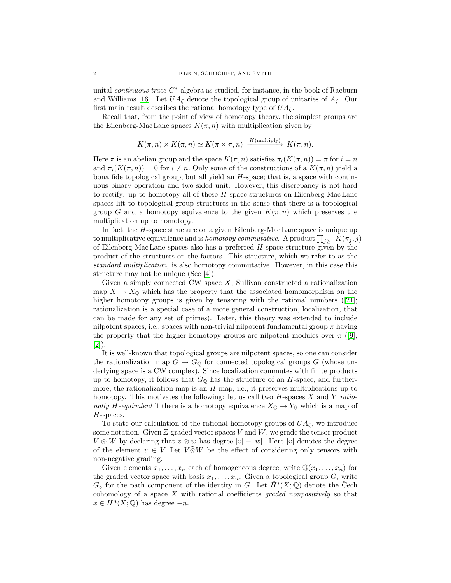unital *continuous trace*  $C^*$ -algebra as studied, for instance, in the book of Raeburn and Williams [\[16\]](#page-24-0). Let  $UA_{\zeta}$  denote the topological group of unitaries of  $A_{\zeta}$ . Our first main result describes the rational homotopy type of  $UA_{\zeta}$ .

Recall that, from the point of view of homotopy theory, the simplest groups are the Eilenberg-Mac Lane spaces  $K(\pi, n)$  with multiplication given by

$$
K(\pi, n) \times K(\pi, n) \simeq K(\pi \times \pi, n) \xrightarrow{K(\text{multiply})} K(\pi, n).
$$

Here  $\pi$  is an abelian group and the space  $K(\pi, n)$  satisfies  $\pi_i(K(\pi, n)) = \pi$  for  $i = n$ and  $\pi_i(K(\pi, n)) = 0$  for  $i \neq n$ . Only some of the constructions of a  $K(\pi, n)$  yield a bona fide topological group, but all yield an H-space; that is, a space with continuous binary operation and two sided unit. However, this discrepancy is not hard to rectify: up to homotopy all of these H-space structures on Eilenberg-Mac Lane spaces lift to topological group structures in the sense that there is a topological group G and a homotopy equivalence to the given  $K(\pi, n)$  which preserves the multiplication up to homotopy.

In fact, the H-space structure on a given Eilenberg-Mac Lane space is unique up to multiplicative equivalence and is *homotopy commutative*. A product  $\prod_{j\geq 1} K(\pi_j, j)$ of Eilenberg-Mac Lane spaces also has a preferred  $H$ -space structure given by the product of the structures on the factors. This structure, which we refer to as the *standard multiplication,* is also homotopy commutative. However, in this case this structure may not be unique (See [\[4\]](#page-23-1)).

Given a simply connected CW space  $X$ , Sullivan constructed a rationalization map  $X \to X_{\mathbb{Q}}$  which has the property that the associated homomorphism on the higherhomotopy groups is given by tensoring with the rational numbers ([\[21\]](#page-24-1); rationalization is a special case of a more general construction, localization, that can be made for any set of primes). Later, this theory was extended to include nilpotent spaces, i.e., spaces with non-trivial nilpotent fundamental group  $\pi$  having the property that the higher homotopy groups are nilpotent modules over  $\pi$  ([\[9\]](#page-24-2), [\[2\]](#page-23-2)).

It is well-known that topological groups are nilpotent spaces, so one can consider the rationalization map  $G \to G_{\mathbb{Q}}$  for connected topological groups G (whose underlying space is a CW complex). Since localization commutes with finite products up to homotopy, it follows that  $G_{\mathbb{Q}}$  has the structure of an H-space, and furthermore, the rationalization map is an H-map, i.e., it preserves multiplications up to homotopy. This motivates the following: let us call two H-spaces X and Y *rationally* H-equivalent if there is a homotopy equivalence  $X_{\mathbb{Q}} \to Y_{\mathbb{Q}}$  which is a map of H-spaces.

To state our calculation of the rational homotopy groups of  $UA_{\zeta}$ , we introduce some notation. Given  $\mathbb{Z}$ -graded vector spaces  $V$  and  $W$ , we grade the tensor product  $V \otimes W$  by declaring that  $v \otimes w$  has degree  $|v| + |w|$ . Here  $|v|$  denotes the degree of the element  $v \in V$ . Let  $V \otimes W$  be the effect of considering only tensors with non-negative grading.

<span id="page-2-0"></span>Given elements  $x_1, \ldots, x_n$  each of homogeneous degree, write  $\mathbb{Q}(x_1, \ldots, x_n)$  for the graded vector space with basis  $x_1, \ldots, x_n$ . Given a topological group G, write  $G_{\circ}$  for the path component of the identity in G. Let  $\check{H}^*(X;\mathbb{Q})$  denote the Cech cohomology of a space X with rational coefficients *graded nonpositively* so that  $x \in \check{H}^n(X; \mathbb{Q})$  has degree  $-n$ .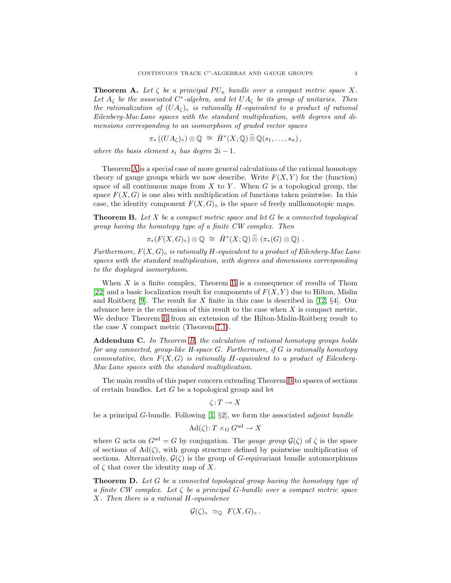**Theorem A.** Let  $\zeta$  be a principal  $PU_n$  bundle over a compact metric space X. Let  $A_{\zeta}$  *be the associated*  $C^*$ -algebra, and let  $UA_{\zeta}$  *be its group of unitaries. Then the rationalization of*  $(UA<sub>C</sub>)<sub>°</sub>$  *is rationally* H-equivalent to a product of rational *Eilenberg-Mac Lane spaces with the standard multiplication, with degrees and dimensions corresponding to an isomorphism of graded vector spaces*

$$
\pi_*((UA_{\zeta})_{\circ}) \otimes \mathbb{Q} \cong \check{H}^*(X; \mathbb{Q}) \widetilde{\otimes} \mathbb{Q}(s_1, \ldots, s_n),
$$

*where the basis element*  $s_i$  *has degree*  $2i - 1$ *.* 

Theorem [A](#page-2-0) is a special case of more general calculations of the rational homotopy theory of gauge groups which we now describe. Write  $F(X, Y)$  for the (function) space of all continuous maps from  $X$  to  $Y$ . When  $G$  is a topological group, the space  $F(X, G)$  is one also with multiplication of functions taken pointwise. In this case, the identity component  $F(X, G)_{\circ}$  is the space of freely nullhomotopic maps.

<span id="page-3-0"></span>Theorem B. *Let* X *be a compact metric space and let* G *be a connected topological group having the homotopy type of a finite CW complex. Then*

 $\pi_*(F(X,G)_{\circ})\otimes \mathbb{Q} \cong \check{H}^*(X;\mathbb{Q})\widetilde{\otimes} (\pi_*(G)\otimes \mathbb{Q})$ .

*Furthermore,* F(X, G)◦ *is rationally* H*-equivalent to a product of Eilenberg-Mac Lane spaces with the standard multiplication, with degrees and dimensions corresponding to the displayed isomorphism.*

When  $X$  is a finite complex, Theorem [B](#page-3-0) is a consequence of results of Thom [\[22\]](#page-24-3) and a basic localization result for components of  $F(X, Y)$  due to Hilton, Mislin and Roitberg  $[9]$ . The result for X finite in this case is described in [\[12,](#page-24-4)  $\S4$ ]. Our advance here is the extension of this result to the case when X is compact metric. We deduce Theorem [B](#page-3-0) from an extension of the Hilton-Mislin-Roitberg result to the case  $X$  compact metric (Theorem [7.1\)](#page-19-1).

<span id="page-3-2"></span>Addendum C. *In Theorem [B,](#page-3-0) the calculation of rational homotopy groups holds for any connected, group-like H-space* G*. Furthermore, if* G *is rationally homotopy commutative, then*  $F(X, G)$  *is rationally H-equivalent to a product of Eilenberg-Mac Lane spaces with the standard multiplication.*

The main results of this paper concern extending Theorem [B](#page-3-0) to spaces of sections of certain bundles. Let G be a topological group and let

$$
\zeta\colon T\to X
$$

be a principal G-bundle. Following [\[1,](#page-23-3) §2], we form the associated *adjoint bundle*

$$
\text{Ad}(\zeta): T \times_G G^{\text{ad}} \to X
$$

where G acts on  $G^{ad} = G$  by conjugation. The *gauge group*  $\mathcal{G}(\zeta)$  of  $\zeta$  is the space of sections of  $Ad(\zeta)$ , with group structure defined by pointwise multiplication of sections. Alternatively,  $G(\zeta)$  is the group of G-equivariant bundle automorphisms of  $\zeta$  that cover the identity map of X.

<span id="page-3-1"></span>Theorem D. *Let* G *be a connected topological group having the homotopy type of a finite CW complex. Let* ζ *be a principal* G*-bundle over a compact metric space* X*. Then there is a rational* H*-equivalence*

$$
\mathcal{G}(\zeta)_{\circ} \simeq_{\mathbb{Q}} F(X,G)_{\circ}.
$$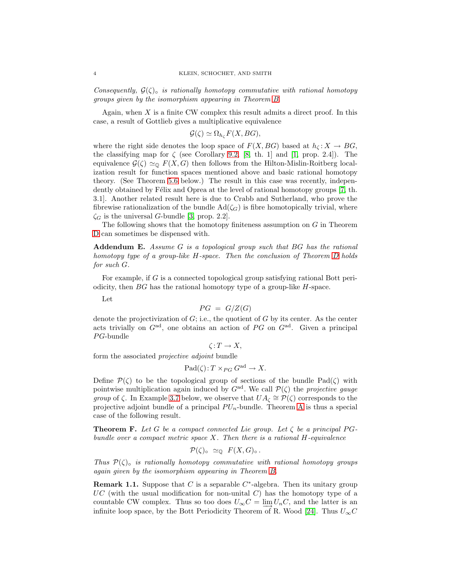*Consequently,*  $G(\zeta)_{\zeta}$  *is rationally homotopy commutative with rational homotopy groups given by the isomorphism appearing in Theorem [B.](#page-3-0)*

Again, when  $X$  is a finite CW complex this result admits a direct proof. In this case, a result of Gottlieb gives a multiplicative equivalence

$$
\mathcal{G}(\zeta) \simeq \Omega_{h_{\zeta}} F(X, BG),
$$

where the right side denotes the loop space of  $F(X, BG)$  based at  $h_{\zeta}: X \to BG$ , the classifying map for  $\zeta$  (see Corollary [9.2,](#page-23-4) [\[8,](#page-24-5) th. 1] and [\[1,](#page-23-3) prop. 2.4]). The equivalence  $\mathcal{G}(\zeta) \simeq_{\mathbb{Q}} F(X, G)$  then follows from the Hilton-Mislin-Roitberg localization result for function spaces mentioned above and basic rational homotopy theory. (See Theorem [5.6](#page-13-0) below.) The result in this case was recently, indepen-dently obtained by Félix and Oprea at the level of rational homotopy groups [\[7,](#page-24-6) th. 3.1]. Another related result here is due to Crabb and Sutherland, who prove the fibrewise rationalization of the bundle  $Ad(\zeta_G)$  is fibre homotopically trivial, where  $\zeta_G$  is the universal G-bundle [\[3,](#page-23-5) prop. 2.2].

<span id="page-4-0"></span>The following shows that the homotopy finiteness assumption on G in Theorem [D](#page-3-1) can sometimes be dispensed with.

Addendum E. *Assume* G *is a topological group such that* BG *has the rational homotopy type of a group-like* H*-space. Then the conclusion of Theorem [D](#page-3-1) holds for such* G*.*

For example, if  $G$  is a connected topological group satisfying rational Bott periodicity, then  $BG$  has the rational homotopy type of a group-like  $H$ -space.

Let

$$
PG = G/Z(G)
$$

denote the projectivization of  $G$ ; i.e., the quotient of  $G$  by its center. As the center acts trivially on  $G<sup>ad</sup>$ , one obtains an action of PG on  $G<sup>ad</sup>$ . Given a principal  $PG$ -bundle

 $\zeta: T \to X$ ,

form the associated *projective adjoint* bundle

$$
\text{Pad}(\zeta): T \times_{PG} G^{\text{ad}} \to X.
$$

Define  $\mathcal{P}(\zeta)$  to be the topological group of sections of the bundle Pad( $\zeta$ ) with pointwise multiplication again induced by  $G<sup>ad</sup>$ . We call  $\mathcal{P}(\zeta)$  the *projective gauge group* of  $\zeta$ . In Example [3.7](#page-9-1) below, we observe that  $UA_{\zeta} \cong \mathcal{P}(\zeta)$  corresponds to the projective adjoint bundle of a principal  $PU_n$ -bundle. Theorem [A](#page-2-0) is thus a special case of the following result.

<span id="page-4-1"></span>**Theorem F.** Let G be a compact connected Lie group. Let  $\zeta$  be a principal PG*bundle over a compact metric space* X*. Then there is a rational* H*-equivalence*

$$
\mathcal{P}(\zeta)_{\circ} \simeq_{\mathbb{Q}} F(X, G)_{\circ}.
$$

*Thus*  $\mathcal{P}(\zeta)$  *is rationally homotopy commutative with rational homotopy groups again given by the isomorphism appearing in Theorem [B.](#page-3-0)*

<span id="page-4-2"></span>**Remark 1.1.** Suppose that C is a separable  $C^*$ -algebra. Then its unitary group  $UC$  (with the usual modification for non-unital C) has the homotopy type of a countable CW complex. Thus so too does  $U_{\infty}C = \lim_{\epsilon \to 0} U_{n}C$ , and the latter is an infinite loop space, by the Bott Periodicity Theorem of R. Wood [\[24\]](#page-24-7). Thus  $U_{\infty}C$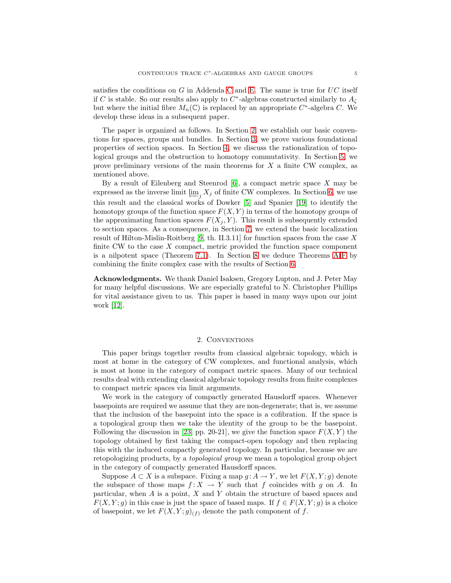satisfies the conditions on G in Addenda [C](#page-3-2) and [E.](#page-4-0) The same is true for  $UC$  itself if C is stable. So our results also apply to C<sup>\*</sup>-algebras constructed similarly to  $A_{\zeta}$ but where the initial fibre  $M_n(\mathbb{C})$  is replaced by an appropriate  $C^*$ -algebra C. We develop these ideas in a subsequent paper.

The paper is organized as follows. In Section [2,](#page-5-0) we establish our basic conventions for spaces, groups and bundles. In Section [3,](#page-7-0) we prove various foundational properties of section spaces. In Section [4,](#page-9-0) we discuss the rationalization of topological groups and the obstruction to homotopy commutativity. In Section [5,](#page-12-0) we prove preliminary versions of the main theorems for  $X$  a finite CW complex, as mentioned above.

By a result of Eilenberg and Steenrod  $[6]$ , a compact metric space X may be expressed as the inverse limit  $\varprojlim_j X_j$  of finite CW complexes. In Section [6,](#page-16-0) we use this result and the classical works of Dowker [\[5\]](#page-23-7) and Spanier [\[19\]](#page-24-8) to identify the homotopy groups of the function space  $F(X, Y)$  in terms of the homotopy groups of the approximating function spaces  $F(X_j, Y)$ . This result is subsequently extended to section spaces. As a consequence, in Section [7,](#page-19-0) we extend the basic localization result of Hilton-Mislin-Roitberg  $[9, th. II.3.11]$  for function spaces from the case X finite CW to the case  $X$  compact, metric provided the function space component is a nilpotent space (Theorem [7.1\)](#page-19-1). In Section [8](#page-20-0) we deduce Theorems [A-](#page-2-0)[F](#page-4-1) by combining the finite complex case with the results of Section [6.](#page-16-0)

Acknowledgments. We thank Daniel Isaksen, Gregory Lupton, and J. Peter May for many helpful discussions. We are especially grateful to N. Christopher Phillips for vital assistance given to us. This paper is based in many ways upon our joint work [\[12\]](#page-24-4).

#### 2. CONVENTIONS

<span id="page-5-0"></span>This paper brings together results from classical algebraic topology, which is most at home in the category of CW complexes, and functional analysis, which is most at home in the category of compact metric spaces. Many of our technical results deal with extending classical algebraic topology results from finite complexes to compact metric spaces via limit arguments.

We work in the category of compactly generated Hausdorff spaces. Whenever basepoints are required we assume that they are non-degenerate; that is, we assume that the inclusion of the basepoint into the space is a cofibration. If the space is a topological group then we take the identity of the group to be the basepoint. Following the discussion in [\[23,](#page-24-9) pp. 20-21], we give the function space  $F(X, Y)$  the topology obtained by first taking the compact-open topology and then replacing this with the induced compactly generated topology. In particular, because we are retopologizing products, by a *topological group* we mean a topological group object in the category of compactly generated Hausdorff spaces.

Suppose  $A \subset X$  is a subspace. Fixing a map  $g: A \to Y$ , we let  $F(X, Y; g)$  denote the subspace of those maps  $f: X \to Y$  such that f coincides with g on A. In particular, when  $A$  is a point,  $X$  and  $Y$  obtain the structure of based spaces and  $F(X, Y; g)$  in this case is just the space of based maps. If  $f \in F(X, Y; g)$  is a choice of basepoint, we let  $F(X, Y; g)_{(f)}$  denote the path component of f.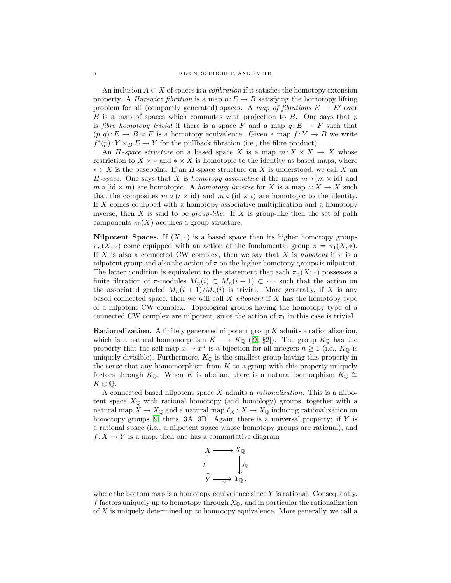An inclusion  $A \subset X$  of spaces is a *cofibration* if it satisfies the homotopy extension property. A *Hurewicz fibration* is a map  $p: E \to B$  satisfying the homotopy lifting problem for all (compactly generated) spaces. A *map of fibrations*  $E \to E'$  over  $B$  is a map of spaces which commutes with projection to  $B$ . One says that  $p$ is *fibre homotopy trivial* if there is a space F and a map  $q: E \to F$  such that  $(p,q): E \to B \times F$  is a homotopy equivalence. Given a map  $f: Y \to B$  we write  $f^*(p)$ :  $Y \times_B E \to Y$  for the pullback fibration (i.e., the fibre product).

An *H*-space structure on a based space X is a map  $m: X \times X \to X$  whose restriction to  $X \times *$  and  $* \times X$  is homotopic to the identity as based maps, where  $* ∈ X$  is the basepoint. If an H-space structure on X is understood, we call X an *H*-space. One says that X is *homotopy associative* if the maps  $m \circ (m \times id)$  and  $m \circ (\mathrm{id} \times m)$  are homotopic. A *homotopy inverse* for X is a map  $\iota: X \to X$  such that the composites  $m \circ (\iota \times id)$  and  $m \circ (id \times \iota)$  are homotopic to the identity. If X comes equipped with a homotopy associative multiplication and a homotopy inverse, then  $X$  is said to be *group-like*. If  $X$  is group-like then the set of path components  $\pi_0(X)$  acquires a group structure.

Nilpotent Spaces. If  $(X, *)$  is a based space then its higher homotopy groups  $\pi_n(X;*)$  come equipped with an action of the fundamental group  $\pi = \pi_1(X,*)$ . If X is also a connected CW complex, then we say that X is *nilpotent* if  $\pi$  is a nilpotent group and also the action of  $\pi$  on the higher homotopy groups is nilpotent. The latter condition is equivalent to the statement that each  $\pi_n(X;*)$  possesses a finite filtration of  $\pi$ -modules  $M_n(i) \subset M_n(i+1) \subset \cdots$  such that the action on the associated graded  $M_n(i + 1)/M_n(i)$  is trivial. More generally, if X is any based connected space, then we will call X *nilpotent* if X has the homotopy type of a nilpotent CW complex. Topological groups having the homotopy type of a connected CW complex are nilpotent, since the action of  $\pi_1$  in this case is trivial.

**Rationalization.** A finitely generated nilpotent group  $K$  admits a rationalization, which is a natural homomorphism  $K \longrightarrow K_{\mathbb{Q}}$  ([\[9,](#page-24-2) §2]). The group  $K_{\mathbb{Q}}$  has the property that the self map  $x \mapsto x^n$  is a bijection for all integers  $n \ge 1$  (i.e.,  $K_{\mathbb{Q}}$  is uniquely divisible). Furthermore,  $K_{\mathbb{Q}}$  is the smallest group having this property in the sense that any homomorphism from  $K$  to a group with this property uniquely factors through  $K_{\mathbb{Q}}$ . When K is abelian, there is a natural isomorphism  $K_{\mathbb{Q}} \cong$  $K \otimes \mathbb{Q}$ .

A connected based nilpotent space X admits a *rationalization.* This is a nilpotent space  $X_{\mathbb{Q}}$  with rational homotopy (and homology) groups, together with a natural map  $X \to X_{\mathbb{Q}}$  and a natural map  $\ell_X \colon X \to X_{\mathbb{Q}}$  inducing rationalization on homotopy groups  $[9, \text{thms. } 3A, 3B]$ . Again, there is a universal property: if Y is a rational space (i.e., a nilpotent space whose homotopy groups are rational), and  $f: X \to Y$  is a map, then one has a commutative diagram



where the bottom map is a homotopy equivalence since  $Y$  is rational. Consequently, f factors uniquely up to homotopy through  $X_{\mathbb{Q}}$ , and in particular the rationalization of X is uniquely determined up to homotopy equivalence. More generally, we call a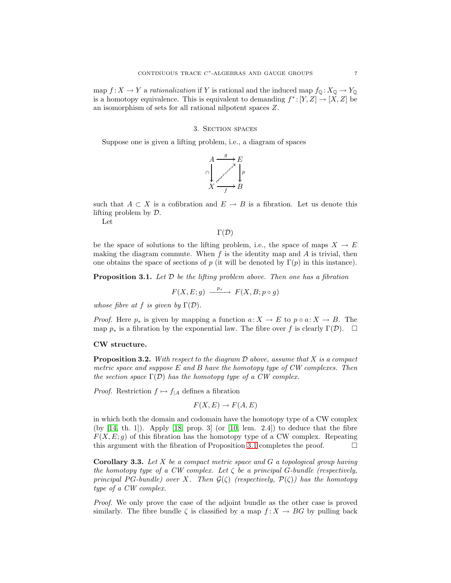map  $f: X \to Y$  a *rationalization* if Y is rational and the induced map  $f_{\mathbb{Q}}: X_{\mathbb{Q}} \to Y_{\mathbb{Q}}$ is a homotopy equivalence. This is equivalent to demanding  $f^*:[Y,Z] \to [X,Z]$  be an isomorphism of sets for all rational nilpotent spaces Z.

#### 3. Section spaces

<span id="page-7-0"></span>Suppose one is given a lifting problem, i.e., a diagram of spaces



such that  $A \subset X$  is a cofibration and  $E \to B$  is a fibration. Let us denote this lifting problem by D.

Let

 $\Gamma(\mathcal{D})$ 

be the space of solutions to the lifting problem, i.e., the space of maps  $X \to E$ making the diagram commute. When  $f$  is the identity map and  $A$  is trivial, then one obtains the space of sections of p (it will be denoted by  $\Gamma(p)$  in this instance).

<span id="page-7-1"></span>Proposition 3.1. *Let* D *be the lifting problem above. Then one has a fibration*

$$
F(X, E; g) \xrightarrow{p_*} F(X, B; p \circ g)
$$

*whose fibre at* f *is given by*  $\Gamma(\mathcal{D})$ *.* 

*Proof.* Here  $p_*$  is given by mapping a function  $a: X \to E$  to  $p \circ a: X \to B$ . The map  $p_*$  is a fibration by the exponential law. The fibre over f is clearly  $\Gamma(\mathcal{D})$ .  $\Box$ 

#### <span id="page-7-2"></span>CW structure.

Proposition 3.2. *With respect to the diagram* D *above, assume that* X *is a compact metric space and suppose* E *and* B *have the homotopy type of CW complexes. Then the section space*  $\Gamma(\mathcal{D})$  *has the homotopy type of a CW complex.* 

*Proof.* Restriction  $f \mapsto f_{|A}$  defines a fibration

$$
F(X, E) \to F(A, E)
$$

in which both the domain and codomain have the homotopy type of a CW complex (by  $[14, th. 1]$ ). Apply  $[18, prop. 3]$  (or  $[10, lem. 2.4]$ ) to deduce that the fibre  $F(X, E; g)$  of this fibration has the homotopy type of a CW complex. Repeating this argument with the fibration of Proposition [3.1](#page-7-1) completes the proof.

Corollary 3.3. *Let* X *be a compact metric space and* G *a topological group having the homotopy type of a CW complex. Let* ζ *be a principal* G*-bundle (respectively, principal* PG-bundle) over X. Then  $\mathcal{G}(\zeta)$  (respectively,  $\mathcal{P}(\zeta)$ ) has the homotopy *type of a CW complex.*

*Proof.* We only prove the case of the adjoint bundle as the other case is proved similarly. The fibre bundle  $\zeta$  is classified by a map  $f: X \to BG$  by pulling back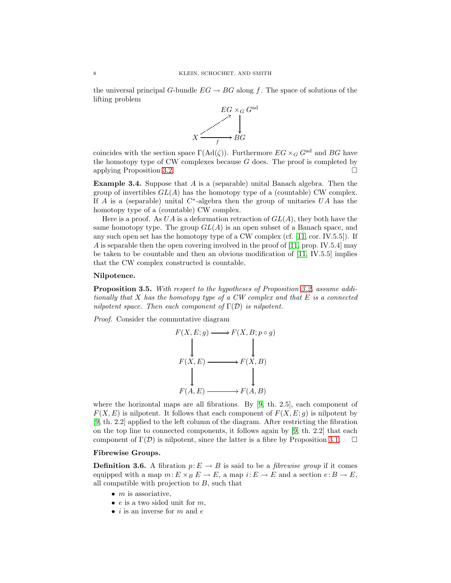the universal principal G-bundle  $EG \rightarrow BG$  along f. The space of solutions of the lifting problem



coincides with the section space  $\Gamma(\text{Ad}(\zeta))$ . Furthermore  $EG \times_G G^{\text{ad}}$  and  $BG$  have the homotopy type of CW complexes because  $G$  does. The proof is completed by applying Proposition [3.2.](#page-7-2)

**Example 3.4.** Suppose that  $A$  is a (separable) unital Banach algebra. Then the group of invertibles  $GL(A)$  has the homotopy type of a (countable) CW complex. If A is a (separable) unital  $C^*$ -algebra then the group of unitaries  $UA$  has the homotopy type of a (countable) CW complex.

Here is a proof. As  $UA$  is a deformation retraction of  $GL(A)$ , they both have the same homotopy type. The group  $GL(A)$  is an open subset of a Banach space, and any such open set has the homotopy type of a CW complex (cf.  $[11, \text{cor. IV.5.5}].$  If A is separable then the open covering involved in the proof of [\[11,](#page-24-13) prop. IV.5.4] may be taken to be countable and then an obvious modification of [\[11,](#page-24-13) IV.5.5] implies that the CW complex constructed is countable.

#### Nilpotence.

Proposition 3.5. *With respect to the hypotheses of Proposition [3.2,](#page-7-2) assume additionally that* X *has the homotopy type of a CW complex and that* E *is a connected nilpotent space. Then each component of* Γ(D) *is nilpotent.*

*Proof.* Consider the commutative diagram



where the horizontal maps are all fibrations. By [\[9,](#page-24-2) th. 2.5], each component of  $F(X, E)$  is nilpotent. It follows that each component of  $F(X, E; g)$  is nilpotent by [\[9,](#page-24-2) th. 2.2] applied to the left column of the diagram. After restricting the fibration on the top line to connected components, it follows again by [\[9,](#page-24-2) th. 2.2] that each component of  $\Gamma(\mathcal{D})$  is nilpotent, since the latter is a fibre by Proposition [3.1.](#page-7-1)  $\Box$ 

#### Fibrewise Groups.

**Definition 3.6.** A fibration  $p: E \to B$  is said to be a *fibrewise group* if it comes equipped with a map  $m: E \times_B E \to E$ , a map  $i: E \to E$  and a section  $e: B \to E$ , all compatible with projection to  $B$ , such that

- $m$  is associative,
- $e$  is a two sided unit for  $m$ ,
- *i* is an inverse for  $m$  and  $e$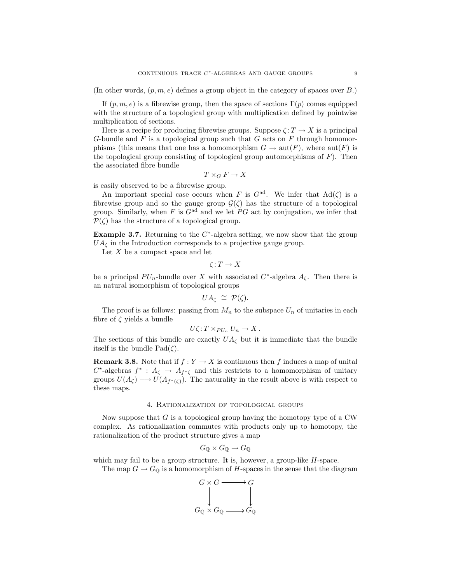(In other words,  $(p, m, e)$  defines a group object in the category of spaces over B.)

If  $(p, m, e)$  is a fibrewise group, then the space of sections  $\Gamma(p)$  comes equipped with the structure of a topological group with multiplication defined by pointwise multiplication of sections.

Here is a recipe for producing fibrewise groups. Suppose  $\zeta : T \to X$  is a principal G-bundle and F is a topological group such that G acts on F through homomorphisms (this means that one has a homomorphism  $G \to \text{aut}(F)$ , where  $\text{aut}(F)$  is the topological group consisting of topological group automorphisms of  $F$ ). Then the associated fibre bundle

$$
T\times_G F\to X
$$

is easily observed to be a fibrewise group.

An important special case occurs when F is  $G^{\text{ad}}$ . We infer that  $\text{Ad}(\zeta)$  is a fibrewise group and so the gauge group  $\mathcal{G}(\zeta)$  has the structure of a topological group. Similarly, when F is  $G^{\text{ad}}$  and we let PG act by conjugation, we infer that  $\mathcal{P}(\zeta)$  has the structure of a topological group.

<span id="page-9-1"></span>Example 3.7. Returning to the  $C^*$ -algebra setting, we now show that the group  $UA_{\zeta}$  in the Introduction corresponds to a projective gauge group.

Let  $X$  be a compact space and let

$$
\zeta\!:\!T\to X
$$

be a principal  $PU_n$ -bundle over X with associated  $C^*$ -algebra  $A_\zeta$ . Then there is an natural isomorphism of topological groups

$$
UA_{\zeta} \cong \mathcal{P}(\zeta).
$$

The proof is as follows: passing from  $M_n$  to the subspace  $U_n$  of unitaries in each fibre of  $\zeta$  yields a bundle

$$
U\zeta: T \times_{PU_n} U_n \to X.
$$

The sections of this bundle are exactly  $UA_{\zeta}$  but it is immediate that the bundle itself is the bundle  $Pad(\zeta)$ .

**Remark 3.8.** Note that if  $f: Y \to X$  is continuous then f induces a map of unital  $C^*$ -algebras  $f^* : A_{\zeta} \to A_{f^*\zeta}$  and this restricts to a homomorphism of unitary groups  $U(A_\zeta) \longrightarrow U(A_{f^*(\zeta)})$ . The naturality in the result above is with respect to these maps.

#### 4. Rationalization of topological groups

<span id="page-9-0"></span>Now suppose that  $G$  is a topological group having the homotopy type of a CW complex. As rationalization commutes with products only up to homotopy, the rationalization of the product structure gives a map

$$
G_{\mathbb{Q}} \times G_{\mathbb{Q}} \to G_{\mathbb{Q}}
$$

which may fail to be a group structure. It is, however, a group-like  $H$ -space.

The map  $G \to G_{\mathbb{Q}}$  is a homomorphism of H-spaces in the sense that the diagram

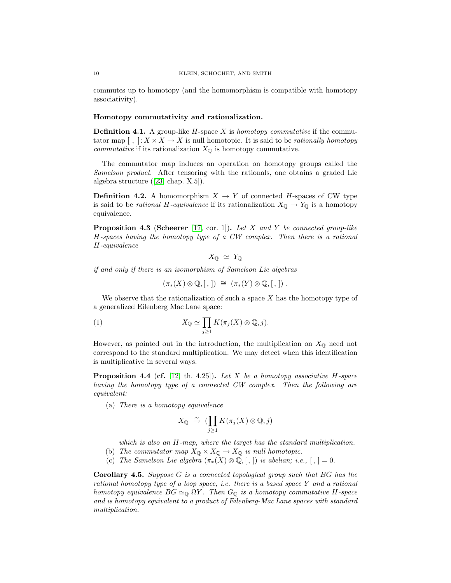commutes up to homotopy (and the homomorphism is compatible with homotopy associativity).

#### Homotopy commutativity and rationalization.

Definition 4.1. A group-like H-space X is *homotopy commutative* if the commutator map  $\left[\,\right, \cdot\colon X\times X\to X$  is null homotopic. It is said to be *rationally homotopy commutative* if its rationalization  $X_{\mathbb{Q}}$  is homotopy commutative.

The commutator map induces an operation on homotopy groups called the *Samelson product*. After tensoring with the rationals, one obtains a graded Lie algebra structure([\[23,](#page-24-9) chap. X.5]).

**Definition 4.2.** A homomorphism  $X \to Y$  of connected H-spaces of CW type is said to be *rational* H-equivalence if its rationalization  $X_{\mathbb{Q}} \to Y_{\mathbb{Q}}$  is a homotopy equivalence.

<span id="page-10-3"></span>Proposition 4.3 (Scheerer [\[17,](#page-24-14) cor. 1]). *Let* X *and* Y *be connected group-like* H*-spaces having the homotopy type of a CW complex. Then there is a rational* H*-equivalence*

$$
X_{\mathbb{Q}} \simeq Y_{\mathbb{Q}}
$$

*if and only if there is an isomorphism of Samelson Lie algebras*

<span id="page-10-2"></span>
$$
(\pi_*(X) \otimes \mathbb{Q}, [,]) \cong (\pi_*(Y) \otimes \mathbb{Q}, [,]) .
$$

We observe that the rationalization of such a space  $X$  has the homotopy type of a generalized Eilenberg Mac Lane space:

(1) 
$$
X_{\mathbb{Q}} \simeq \prod_{j\geq 1} K(\pi_j(X) \otimes \mathbb{Q}, j).
$$

However, as pointed out in the introduction, the multiplication on  $X_{\mathbb{Q}}$  need not correspond to the standard multiplication. We may detect when this identification is multiplicative in several ways.

<span id="page-10-1"></span>Proposition 4.4 (cf. [\[12,](#page-24-4) th. 4.25]). *Let* X *be a homotopy associative* H*-space having the homotopy type of a connected CW complex. Then the following are equivalent:*

(a) *There is a homotopy equivalence*

$$
X_{\mathbb{Q}} \stackrel{\sim}{\to} (\prod_{j\geq 1} K(\pi_j(X)\otimes \mathbb{Q}, j)
$$

*which is also an* H*-map, where the target has the standard multiplication.*

- (b) *The commutator map*  $X_{\mathbb{Q}} \times X_{\mathbb{Q}} \to X_{\mathbb{Q}}$  *is null homotopic.*
- (c) *The Samelson Lie algebra*  $(\pi_*(X) \otimes \mathbb{Q}, [,])$  *is abelian; i.e.,*  $[, ] = 0.$

<span id="page-10-0"></span>Corollary 4.5. *Suppose* G *is a connected topological group such that* BG *has the rational homotopy type of a loop space, i.e. there is a based space* Y *and a rational homotopy equivalence*  $BG \simeq_{\mathbb{Q}} \Omega Y$ *. Then*  $G_{\mathbb{Q}}$  *is a homotopy commutative*  $H$ -space *and is homotopy equivalent to a product of Eilenberg-Mac Lane spaces with standard multiplication.*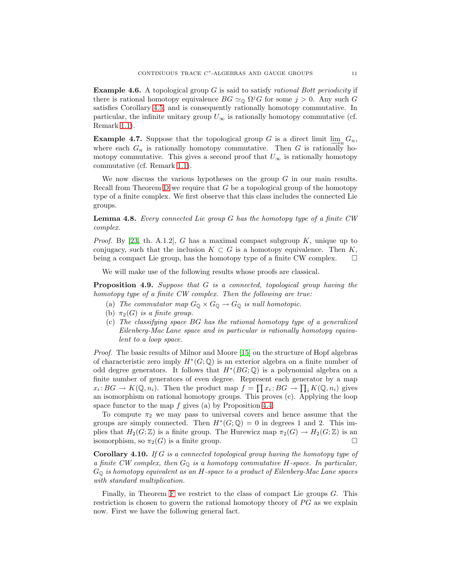Example 4.6. A topological group G is said to satisfy *rational Bott periodicity* if there is rational homotopy equivalence  $BG \simeq_{\mathbb{Q}} \Omega^{j}G$  for some  $j > 0$ . Any such G satisfies Corollary [4.5,](#page-10-0) and is consequently rationally homotopy commutative. In particular, the infinite unitary group  $U_{\infty}$  is rationally homotopy commutative (cf. Remark [1.1\)](#page-4-2).

Example 4.7. Suppose that the topological group G is a direct limit  $\lim_{n \to \infty} G_n$ , where each  $G_n$  is rationally homotopy commutative. Then G is rationally homotopy commutative. This gives a second proof that  $U_{\infty}$  is rationally homotopy commutative (cf. Remark [1.1\)](#page-4-2).

We now discuss the various hypotheses on the group  $G$  in our main results. Recall from Theorem [D](#page-3-1) we require that G be a topological group of the homotopy type of a finite complex. We first observe that this class includes the connected Lie groups.

Lemma 4.8. *Every connected Lie group* G *has the homotopy type of a finite CW complex.*

*Proof.* By [\[23,](#page-24-9) th. A.1.2], G has a maximal compact subgroup K, unique up to conjugacy, such that the inclusion  $K \subset G$  is a homotopy equivalence. Then K, being a compact Lie group, has the homotopy type of a finite CW complex.  $\Box$ 

<span id="page-11-0"></span>We will make use of the following results whose proofs are classical.

Proposition 4.9. *Suppose that* G *is a connected, topological group having the homotopy type of a finite CW complex. Then the following are true:*

- (a) *The commutator map*  $G_{\mathbb{Q}} \times G_{\mathbb{Q}} \to G_{\mathbb{Q}}$  *is null homotopic.*
- (b)  $\pi_2(G)$  *is a finite group.*
- (c) *The classifying space* BG *has the rational homotopy type of a generalized Eilenberg-Mac Lane space and in particular is rationally homotopy equivalent to a loop space.*

*Proof.* The basic results of Milnor and Moore [\[15\]](#page-24-15) on the structure of Hopf algebras of characteristic zero imply  $H^*(G; \mathbb{Q})$  is an exterior algebra on a finite number of odd degree generators. It follows that  $H^*(BG; \mathbb{Q})$  is a polynomial algebra on a finite number of generators of even degree. Represent each generator by a map  $x_i: BG \to K(\mathbb{Q}, n_i)$ . Then the product map  $f = \prod x_i: BG \to \prod_i K(\mathbb{Q}, n_i)$  gives an isomorphism on rational homotopy groups. This proves (c). Applying the loop space functor to the map  $f$  gives (a) by Proposition [4.4.](#page-10-1)

To compute  $\pi_2$  we may pass to universal covers and hence assume that the groups are simply connected. Then  $H^*(G; \mathbb{Q}) = 0$  in degrees 1 and 2. This implies that  $H_2(G; \mathbb{Z})$  is a finite group. The Hurewicz map  $\pi_2(G) \to H_2(G; \mathbb{Z})$  is an isomorphism, so  $\pi_2(G)$  is a finite group.

<span id="page-11-1"></span>Corollary 4.10. *If* G *is a connected topological group having the homotopy type of a finite CW complex, then* G<sup>Q</sup> *is a homotopy commutative* H*-space. In particular,* G<sup>Q</sup> *is homotopy equivalent as an* H*-space to a product of Eilenberg-Mac Lane spaces with standard multiplication.*

Finally, in Theorem  $F$  we restrict to the class of compact Lie groups  $G$ . This restriction is chosen to govern the rational homotopy theory of  $PG$  as we explain now. First we have the following general fact.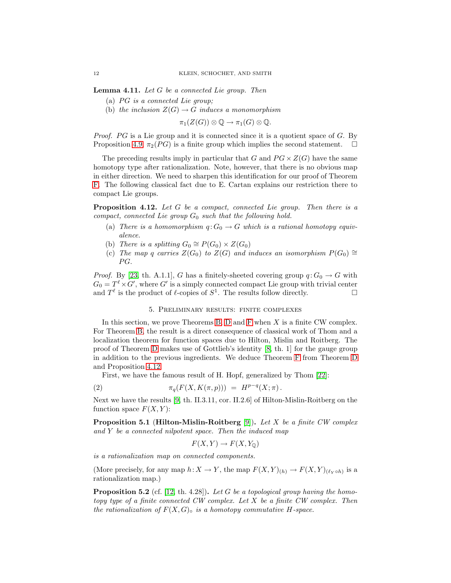Lemma 4.11. *Let* G *be a connected Lie group. Then*

- (a) PG is a connected Lie group;
- (b) *the inclusion*  $Z(G) \to G$  *induces a monomorphism*

 $\pi_1(Z(G))\otimes \mathbb{Q} \to \pi_1(G)\otimes \mathbb{Q}.$ 

*Proof.* PG is a Lie group and it is connected since it is a quotient space of G. By Proposition [4.9,](#page-11-0)  $\pi_2(PG)$  is a finite group which implies the second statement.  $\Box$ 

The preceding results imply in particular that G and  $PG \times Z(G)$  have the same homotopy type after rationalization. Note, however, that there is no obvious map in either direction. We need to sharpen this identification for our proof of Theorem [F.](#page-4-1) The following classical fact due to E. Cartan explains our restriction there to compact Lie groups.

<span id="page-12-1"></span>Proposition 4.12. *Let* G *be a compact, connected Lie group. Then there is a compact, connected Lie group*  $G_0$  *such that the following hold.* 

- (a) *There is a homomorphism*  $q: G_0 \to G$  *which is a rational homotopy equivalence.*
- (b) *There is a splitting*  $G_0 \cong P(G_0) \times Z(G_0)$
- (c) *The map* q *carries*  $Z(G_0)$  *to*  $Z(G)$  *and induces an isomorphism*  $P(G_0) \cong$  $PG.$

*Proof.* By [\[23,](#page-24-9) th. A.1.1], G has a finitely-sheeted covering group  $q: G_0 \to G$  with  $G_0 = T^{\ell} \times G'$ , where G' is a simply connected compact Lie group with trivial center and  $T^{\ell}$  is the product of  $\ell$ -copies of  $S^1$ . The results follow directly.

#### 5. Preliminary results: finite complexes

<span id="page-12-0"></span>In this section, we prove Theorems [B,](#page-3-0) [D](#page-3-1) and [F](#page-4-1) when  $X$  is a finite CW complex. For Theorem [B,](#page-3-0) the result is a direct consequence of classical work of Thom and a localization theorem for function spaces due to Hilton, Mislin and Roitberg. The proof of Theorem [D](#page-3-1) makes use of Gottlieb's identity [\[8,](#page-24-5) th. 1] for the gauge group in addition to the previous ingredients. We deduce Theorem [F](#page-4-1) from Theorem [D](#page-3-1) and Proposition [4.12.](#page-12-1)

First, we have the famous result of H. Hopf, generalized by Thom [\[22\]](#page-24-3):

(2) 
$$
\pi_q(F(X, K(\pi, p))) = H^{p-q}(X; \pi).
$$

<span id="page-12-2"></span>Next we have the results [\[9,](#page-24-2) th. II.3.11, cor. II.2.6] of Hilton-Mislin-Roitberg on the function space  $F(X, Y)$ :

Proposition 5.1 (Hilton-Mislin-Roitberg [\[9\]](#page-24-2)). *Let* X *be a finite CW complex and* Y *be a connected nilpotent space. Then the induced map*

<span id="page-12-3"></span>
$$
F(X, Y) \to F(X, Y_{\mathbb{Q}})
$$

*is a rationalization map on connected components.*

<span id="page-12-4"></span>(More precisely, for any map  $h: X \to Y$ , the map  $F(X,Y)_{(h)} \to F(X,Y)_{(\ell_Y \circ h)}$  is a rationalization map.)

Proposition 5.2 (cf. [\[12,](#page-24-4) th. 4.28]). *Let* G *be a topological group having the homotopy type of a finite connected CW complex. Let* X *be a finite CW complex. Then the rationalization of*  $F(X, G)$  *is a homotopy commutative H*-space.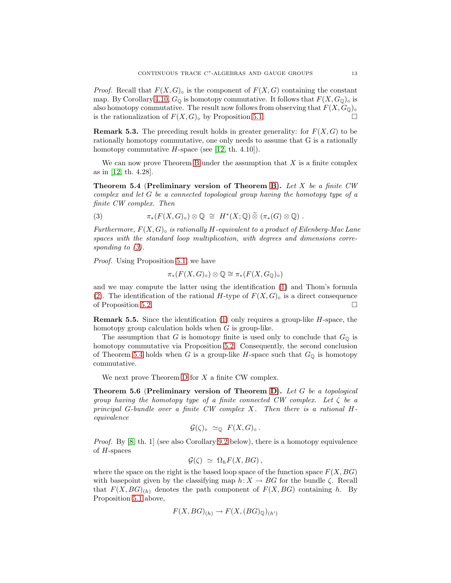*Proof.* Recall that  $F(X, G)$  is the component of  $F(X, G)$  containing the constant map. By Corollary [4.10,](#page-11-1)  $G_{\mathbb{Q}}$  is homotopy commutative. It follows that  $F(X, G_{\mathbb{Q}})_{\circ}$  is also homotopy commutative. The result now follows from observing that  $F(X, G_{\mathbb{Q}})_{\circ}$ is the rationalization of  $F(X, G)$ <sup>o</sup> by Proposition [5.1.](#page-12-2)

**Remark 5.3.** The preceding result holds in greater generality: for  $F(X, G)$  to be rationally homotopy commutative, one only needs to assume that G is a rationally homotopy commutative  $H$ -space (see [\[12,](#page-24-4) th. 4.10]).

<span id="page-13-2"></span>We can now prove Theorem [B](#page-3-0) under the assumption that  $X$  is a finite complex as in [\[12,](#page-24-4) th. 4.28].

Theorem 5.4 (Preliminary version of Theorem [B](#page-3-0)). *Let* X *be a finite CW complex and let* G *be a connected topological group having the homotopy type of a finite CW complex. Then*

<span id="page-13-1"></span>(3) 
$$
\pi_*(F(X,G)_{\circ}) \otimes \mathbb{Q} \cong H^*(X;\mathbb{Q}) \widetilde{\otimes} (\pi_*(G) \otimes \mathbb{Q}) .
$$

*Furthermore,* F(X, G)◦ *is rationally* H*-equivalent to a product of Eilenberg-Mac Lane spaces with the standard loop multiplication, with degrees and dimensions corresponding to [\(3\)](#page-13-1).*

*Proof.* Using Proposition [5.1,](#page-12-2) we have

$$
\pi_*(F(X,G)_{\circ}) \otimes \mathbb{Q} \cong \pi_*(F(X,G_{\mathbb{Q}})_{\circ})
$$

and we may compute the latter using the identification [\(1\)](#page-10-2) and Thom's formula [\(2\)](#page-12-3). The identification of the rational H-type of  $F(X, G)$ ° is a direct consequence of Proposition [5.2.](#page-12-4)

<span id="page-13-3"></span>**Remark 5.5.** Since the identification  $(1)$  only requires a group-like  $H$ -space, the homotopy group calculation holds when G is group-like.

The assumption that G is homotopy finite is used only to conclude that  $G_{\mathbb{Q}}$  is homotopy commutative via Proposition [5.2.](#page-12-4) Consequently, the second conclusion of Theorem [5.4](#page-13-2) holds when G is a group-like H-space such that  $G_{\mathbb{Q}}$  is homotopy commutative.

<span id="page-13-0"></span>We next prove Theorem  $D$  for  $X$  a finite CW complex.

Theorem 5.6 (Preliminary version of Theorem [D](#page-3-1)). *Let* G *be a topological group having the homotopy type of a finite connected CW complex. Let* ζ *be a principal* G*-bundle over a finite CW complex* X*. Then there is a rational* H*equivalence*

$$
\mathcal{G}(\zeta)_{\circ} \simeq_{\mathbb{Q}} F(X, G)_{\circ}.
$$

*Proof.* By [\[8,](#page-24-5) th. 1] (see also Corollary [9.2](#page-23-4) below), there is a homotopy equivalence of H-spaces

$$
\mathcal{G}(\zeta) \simeq \Omega_h F(X, BG),
$$

where the space on the right is the based loop space of the function space  $F(X, BG)$ with basepoint given by the classifying map  $h: X \to BG$  for the bundle  $\zeta$ . Recall that  $F(X, BG)_{(h)}$  denotes the path component of  $F(X, BG)$  containing h. By Proposition [5.1](#page-12-2) above,

$$
F(X, BG)_{(h)} \to F(X, (BG)_{\mathbb{Q}})_{(h')}
$$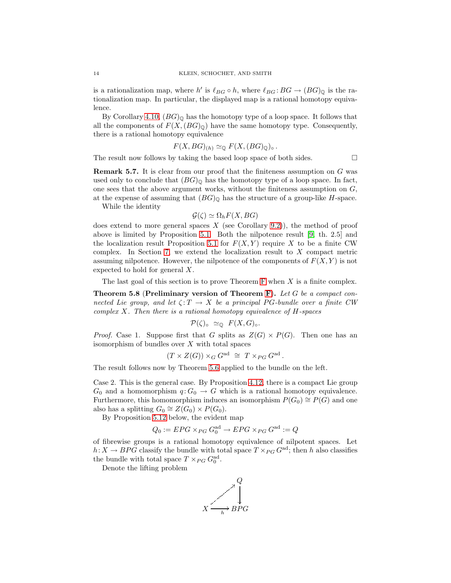is a rationalization map, where  $h'$  is  $\ell_{BG} \circ h$ , where  $\ell_{BG} : BG \to (BG)_{\mathbb{Q}}$  is the rationalization map. In particular, the displayed map is a rational homotopy equivalence.

By Corollary [4.10,](#page-11-1)  $(BG)_{\mathbb{Q}}$  has the homotopy type of a loop space. It follows that all the components of  $F(X,(BG)_{\mathbb{Q}})$  have the same homotopy type. Consequently, there is a rational homotopy equivalence

$$
F(X, BG)_{(h)} \simeq_{\mathbb{Q}} F(X, (BG)_{\mathbb{Q}})_{\circ}.
$$

<span id="page-14-1"></span>The result now follows by taking the based loop space of both sides.  $\Box$ 

**Remark 5.7.** It is clear from our proof that the finiteness assumption on  $G$  was used only to conclude that  $(BG)_{\mathbb{Q}}$  has the homotopy type of a loop space. In fact, one sees that the above argument works, without the finiteness assumption on  $G$ , at the expense of assuming that  $(BG)_{\mathbb{Q}}$  has the structure of a group-like H-space.

While the identity

$$
\mathcal{G}(\zeta) \simeq \Omega_h F(X, BG)
$$

does extend to more general spaces  $X$  (see Corollary [9.2\)](#page-23-4)), the method of proof above is limited by Proposition [5.1.](#page-12-2) Both the nilpotence result [\[9,](#page-24-2) th. 2.5] and the localization result Proposition [5.1](#page-12-2) for  $F(X, Y)$  require X to be a finite CW complex. In Section [7,](#page-19-0) we extend the localization result to  $X$  compact metric assuming nilpotence. However, the nilpotence of the components of  $F(X, Y)$  is not expected to hold for general X.

<span id="page-14-0"></span>The last goal of this section is to prove Theorem [F](#page-4-1) when X is a finite complex.

Theorem 5.8 (Preliminary version of Theorem [F](#page-4-1)). *Let* G *be a compact connected Lie group, and let*  $\zeta: T \to X$  *be a principal PG-bundle over a finite CW complex* X*. Then there is a rational homotopy equivalence of* H*-spaces*

$$
\mathcal{P}(\zeta)_{\circ} \simeq_{\mathbb{Q}} F(X, G)_{\circ}.
$$

*Proof.* Case 1. Suppose first that G splits as  $Z(G) \times P(G)$ . Then one has an isomorphism of bundles over  $X$  with total spaces

$$
(T \times Z(G)) \times_G G^{\text{ad}} \cong T \times_{PG} G^{\text{ad}}.
$$

The result follows now by Theorem [5.6](#page-13-0) applied to the bundle on the left.

Case 2. This is the general case. By Proposition [4.12,](#page-12-1) there is a compact Lie group  $G_0$  and a homomorphism  $q: G_0 \to G$  which is a rational homotopy equivalence. Furthermore, this homomorphism induces an isomorphism  $P(G_0) \cong P(G)$  and one also has a splitting  $G_0 \cong Z(G_0) \times P(G_0)$ .

By Proposition [5.12](#page-16-1) below, the evident map

$$
Q_0 := EPG \times_{PG} G_0^{\text{ad}} \to EPG \times_{PG} G^{\text{ad}} := Q
$$

of fibrewise groups is a rational homotopy equivalence of nilpotent spaces. Let  $h: X \to BPG$  classify the bundle with total space  $T \times_{PG} G^{ad}$ ; then h also classifies the bundle with total space  $T \times_{PG} G_0^{\text{ad}}$ .

Denote the lifting problem

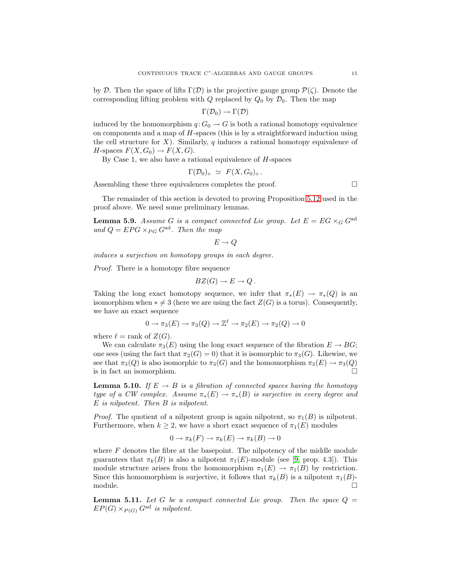by D. Then the space of lifts  $\Gamma(\mathcal{D})$  is the projective gauge group  $\mathcal{P}(\zeta)$ . Denote the corresponding lifting problem with Q replaced by  $Q_0$  by  $\mathcal{D}_0$ . Then the map

$$
\Gamma(\mathcal{D}_0) \to \Gamma(\mathcal{D})
$$

induced by the homomorphism  $q: G_0 \to G$  is both a rational homotopy equivalence on components and a map of  $H$ -spaces (this is by a straightforward induction using the cell structure for  $X$ ). Similarly, q induces a rational homotopy equivalence of  $H$ -spaces  $F(X, G_0) \to F(X, G)$ .

By Case 1, we also have a rational equivalence of  $H$ -spaces

$$
\Gamma(\mathcal{D}_0)_{\circ} \simeq F(X, G_0)_{\circ}.
$$

Assembling these three equivalences completes the proof.

The remainder of this section is devoted to proving Proposition [5.12](#page-16-1) used in the proof above. We need some preliminary lemmas.

**Lemma 5.9.** Assume G is a compact connected Lie group. Let  $E = EG \times_G G^{ad}$ *and*  $Q = EPG \times_{PG} G^{ad}$ *. Then the map* 

$$
E\to Q
$$

*induces a surjection on homotopy groups in each degree.*

*Proof.* There is a homotopy fibre sequence

$$
BZ(G) \to E \to Q.
$$

Taking the long exact homotopy sequence, we infer that  $\pi_*(E) \to \pi_*(Q)$  is an isomorphism when  $*\neq 3$  (here we are using the fact  $Z(G)$  is a torus). Consequently, we have an exact sequence

$$
0 \to \pi_3(E) \to \pi_3(Q) \to \mathbb{Z}^{\ell} \to \pi_2(E) \to \pi_2(Q) \to 0
$$

where  $\ell = \text{rank of } Z(G)$ .

We can calculate  $\pi_3(E)$  using the long exact sequence of the fibration  $E \to BG$ ; one sees (using the fact that  $\pi_2(G) = 0$ ) that it is isomorphic to  $\pi_3(G)$ . Likewise, we see that  $\pi_3(Q)$  is also isomorphic to  $\pi_3(G)$  and the homomorphism  $\pi_3(E) \to \pi_3(Q)$ is in fact an isomorphism.

**Lemma 5.10.** *If*  $E \rightarrow B$  *is a fibration of connected spaces having the homotopy type of a CW complex. Assume*  $\pi_*(E) \to \pi_*(B)$  *is surjective in every degree and* E *is nilpotent. Then* B *is nilpotent.*

*Proof.* The quotient of a nilpotent group is again nilpotent, so  $\pi_1(B)$  is nilpotent. Furthermore, when  $k \geq 2$ , we have a short exact sequence of  $\pi_1(E)$  modules

$$
0 \to \pi_k(F) \to \pi_k(E) \to \pi_k(B) \to 0
$$

where  $F$  denotes the fibre at the basepoint. The nilpotency of the middle module guarantees that  $\pi_k(B)$  is also a nilpotent  $\pi_1(E)$ -module (see [\[9,](#page-24-2) prop. 4.3]). This module structure arises from the homomorphism  $\pi_1(E) \to \pi_1(B)$  by restriction. Since this homomorphism is surjective, it follows that  $\pi_k(B)$  is a nilpotent  $\pi_1(B)$ -module.  $\Box$  module.

<span id="page-15-0"></span>**Lemma 5.11.** Let G be a compact connected Lie group. Then the space  $Q =$  $EP(G) \times_{P(G)} G^{ad}$  *is nilpotent.*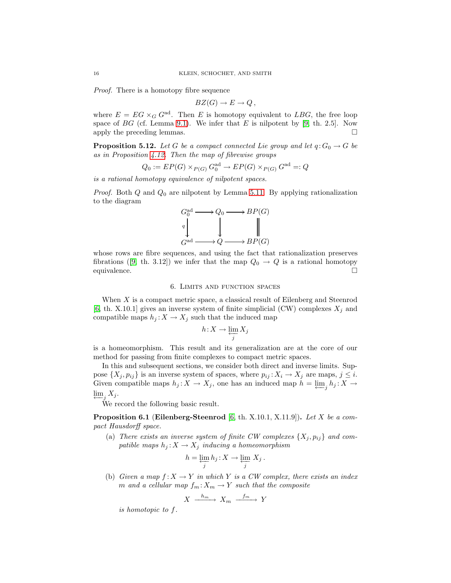*Proof.* There is a homotopy fibre sequence

$$
BZ(G) \to E \to Q,
$$

where  $E = EG \times_G G^{ad}$ . Then E is homotopy equivalent to LBG, the free loop space of  $BG$  (cf. Lemma [9.1\)](#page-22-1). We infer that  $E$  is nilpotent by [\[9,](#page-24-2) th. 2.5]. Now apply the preceding lemmas.

<span id="page-16-1"></span>**Proposition 5.12.** *Let* G *be a compact connected Lie group and let*  $q: G_0 \to G$  *be as in Proposition [4.12.](#page-12-1) Then the map of fibrewise groups*

$$
Q_0 := EP(G) \times_{P(G)} G_0^{\text{ad}} \to EP(G) \times_{P(G)} G^{\text{ad}} =: Q
$$

*is a rational homotopy equivalence of nilpotent spaces.*

*Proof.* Both  $Q$  and  $Q_0$  are nilpotent by Lemma [5.11.](#page-15-0) By applying rationalization to the diagram

$$
\begin{array}{ccc}\nG_0^{\text{ad}} & \longrightarrow Q_0 \longrightarrow BP(G) \\
\downarrow & & \parallel \\
G^{\text{ad}} & \longrightarrow Q \longrightarrow BP(G)\n\end{array}
$$

whose rows are fibre sequences, and using the fact that rationalization preserves fibrations([\[9,](#page-24-2) th. 3.12]) we infer that the map  $Q_0 \rightarrow Q$  is a rational homotopy equivalence.

#### 6. Limits and function spaces

<span id="page-16-0"></span>When  $X$  is a compact metric space, a classical result of Eilenberg and Steenrod [\[6,](#page-23-6) th. X.10.1] gives an inverse system of finite simplicial (CW) complexes  $X_j$  and compatible maps  $h_j : X \to X_j$  such that the induced map

$$
h\!:\!X\to \varprojlim_j X_j
$$

is a homeomorphism. This result and its generalization are at the core of our method for passing from finite complexes to compact metric spaces.

In this and subsequent sections, we consider both direct and inverse limits. Suppose  $\{X_j, p_{ij}\}\$ is an inverse system of spaces, where  $p_{ij}: X_i \to X_j$  are maps,  $j \leq i$ . Given compatible maps  $h_j: X \to X_j$ , one has an induced map  $h = \varprojlim_j h_j: X \to Y_j$  $\varprojlim_j X_j$ .

<span id="page-16-2"></span>We record the following basic result.

Proposition 6.1 (Eilenberg-Steenrod [\[6,](#page-23-6) th. X.10.1, X.11.9]). *Let* X *be a compact Hausdorff space.*

(a) *There exists an inverse system of finite CW complexes*  $\{X_j, p_{ij}\}$  *and com*patible maps  $h_j: X \to X_j$  *inducing a homeomorphism* 

$$
h = \varprojlim_j h_j : X \to \varprojlim_j X_j \, .
$$

(b) *Given a map*  $f: X \to Y$  *in which* Y *is a CW complex, there exists an index* m and a cellular map  $f_m: X_m \to Y$  such that the composite

$$
X \xrightarrow{h_m} X_m \xrightarrow{f_m} Y
$$

<span id="page-16-3"></span>*is homotopic to* f*.*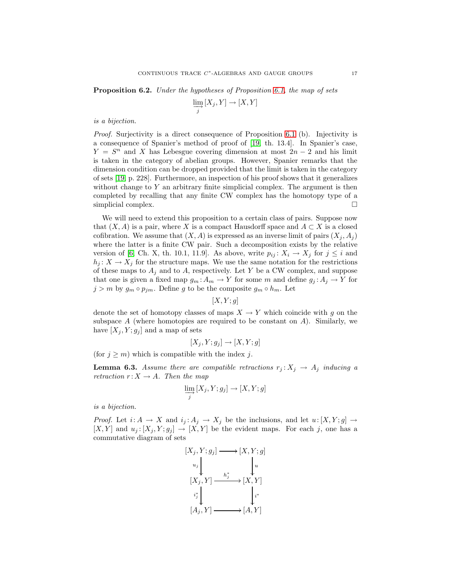Proposition 6.2. *Under the hypotheses of Proposition [6.1,](#page-16-2) the map of sets*

$$
\varinjlim_{j} [X_{j}, Y] \to [X, Y]
$$

#### *is a bijection.*

*Proof.* Surjectivity is a direct consequence of Proposition [6.1](#page-16-2) (b). Injectivity is a consequence of Spanier's method of proof of [\[19,](#page-24-8) th. 13.4]. In Spanier's case,  $Y = S<sup>n</sup>$  and X has Lebesgue covering dimension at most  $2n - 2$  and his limit is taken in the category of abelian groups. However, Spanier remarks that the dimension condition can be dropped provided that the limit is taken in the category of sets [\[19,](#page-24-8) p. 228]. Furthermore, an inspection of his proof shows that it generalizes without change to  $Y$  an arbitrary finite simplicial complex. The argument is then completed by recalling that any finite CW complex has the homotopy type of a simplicial complex.

We will need to extend this proposition to a certain class of pairs. Suppose now that  $(X, A)$  is a pair, where X is a compact Hausdorff space and  $A \subset X$  is a closed cofibration. We assume that  $(X, A)$  is expressed as an inverse limit of pairs  $(X_i, A_j)$ where the latter is a finite CW pair. Such a decomposition exists by the relative version of [\[6,](#page-23-6) Ch. X, th. 10.1, 11.9]. As above, write  $p_{ij}: X_i \to X_j$  for  $j \leq i$  and  $h_j: X \to X_j$  for the structure maps. We use the same notation for the restrictions of these maps to  $A_j$  and to A, respectively. Let Y be a CW complex, and suppose that one is given a fixed map  $g_m: A_m \to Y$  for some m and define  $g_j: A_j \to Y$  for  $j > m$  by  $g_m \circ p_{jm}$ . Define g to be the composite  $g_m \circ h_m$ . Let

$$
[X, Y; g]
$$

denote the set of homotopy classes of maps  $X \to Y$  which coincide with g on the subspace  $A$  (where homotopies are required to be constant on  $A$ ). Similarly, we have  $[X_j, Y; g_j]$  and a map of sets

$$
[X_j, Y; g_j] \to [X, Y; g]
$$

<span id="page-17-0"></span>(for  $j \geq m$ ) which is compatible with the index j.

**Lemma 6.3.** Assume there are compatible retractions  $r_j: X_j \to A_j$  inducing a *retraction*  $r: X \to A$ *. Then the map* 

$$
\varinjlim_{j} [X_j, Y; g_j] \to [X, Y; g]
$$

*is a bijection.*

*Proof.* Let  $i: A \to X$  and  $i_j: A_j \to X_j$  be the inclusions, and let  $u: [X, Y; g] \to$  $[X, Y]$  and  $u_j : [X_j, Y; g_j] \to [X, Y]$  be the evident maps. For each j, one has a commutative diagram of sets

$$
[X_j, Y; g_j] \longrightarrow [X, Y; g]
$$

$$
u_j \downarrow \qquad \qquad \downarrow u
$$

$$
[X_j, Y] \longrightarrow \begin{bmatrix} h_j^* \\ \downarrow i \end{bmatrix} \qquad \qquad \downarrow i^*
$$

$$
[A_j, Y] \longrightarrow [A, Y]
$$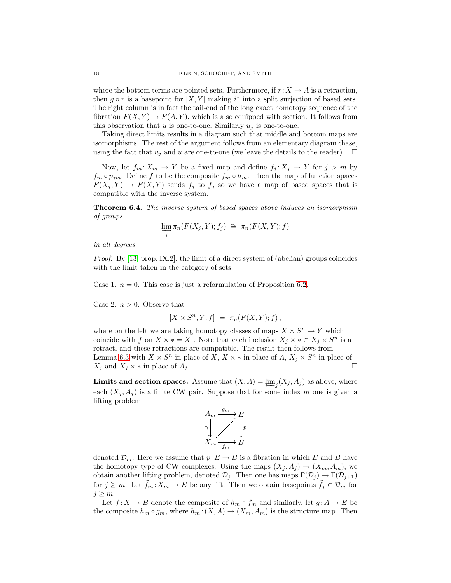where the bottom terms are pointed sets. Furthermore, if  $r: X \to A$  is a retraction, then  $g \circ r$  is a basepoint for  $[X, Y]$  making i<sup>\*</sup> into a split surjection of based sets. The right column is in fact the tail-end of the long exact homotopy sequence of the fibration  $F(X, Y) \to F(A, Y)$ , which is also equipped with section. It follows from this observation that u is one-to-one. Similarly  $u_i$  is one-to-one.

Taking direct limits results in a diagram such that middle and bottom maps are isomorphisms. The rest of the argument follows from an elementary diagram chase, using the fact that  $u_j$  and u are one-to-one (we leave the details to the reader).  $\Box$ 

Now, let  $f_m: X_m \to Y$  be a fixed map and define  $f_j: X_j \to Y$  for  $j > m$  by  $f_m \circ p_{jm}$ . Define f to be the composite  $f_m \circ h_m$ . Then the map of function spaces  $F(X_j, Y) \to F(X, Y)$  sends  $f_j$  to f, so we have a map of based spaces that is compatible with the inverse system.

<span id="page-18-0"></span>Theorem 6.4. *The inverse system of based spaces above induces an isomorphism of groups*

$$
\varinjlim_{j} \pi_{n}(F(X_{j}, Y); f_{j}) \cong \pi_{n}(F(X, Y); f)
$$

*in all degrees.*

*Proof.* By [\[13,](#page-24-16) prop. IX.2], the limit of a direct system of (abelian) groups coincides with the limit taken in the category of sets.

Case 1.  $n = 0$ . This case is just a reformulation of Proposition [6.2.](#page-16-3)

Case 2.  $n > 0$ . Observe that

$$
[X \times S^n, Y; f] = \pi_n(F(X, Y); f),
$$

where on the left we are taking homotopy classes of maps  $X \times S^n \to Y$  which coincide with f on  $X \times * = X$ . Note that each inclusion  $X_j \times * \subset X_j \times S^n$  is a retract, and these retractions are compatible. The result then follows from Lemma [6.3](#page-17-0) with  $X \times S^n$  in place of X,  $X \times *$  in place of A,  $X_j \times S^n$  in place of  $X_j$  and  $X_j \times *$  in place of  $A_j$ .

Limits and section spaces. Assume that  $(X, A) = \varprojlim_j (X_j, A_j)$  as above, where each  $(X_j, A_j)$  is a finite CW pair. Suppose that for some index m one is given a lifting problem



denoted  $\mathcal{D}_m$ . Here we assume that  $p: E \to B$  is a fibration in which E and B have the homotopy type of CW complexes. Using the maps  $(X_j, A_j) \to (X_m, A_m)$ , we obtain another lifting problem, denoted  $\mathcal{D}_j$ . Then one has maps  $\Gamma(\mathcal{D}_j) \to \Gamma(\mathcal{D}_{j+1})$ for  $j \geq m$ . Let  $\hat{f}_m : X_m \to E$  be any lift. Then we obtain basepoints  $\hat{f}_j \in \mathcal{D}_m$  for  $j \geq m$ .

Let  $f: X \to B$  denote the composite of  $h_m \circ f_m$  and similarly, let  $g: A \to E$  be the composite  $h_m \circ g_m$ , where  $h_m: (X, A) \to (X_m, A_m)$  is the structure map. Then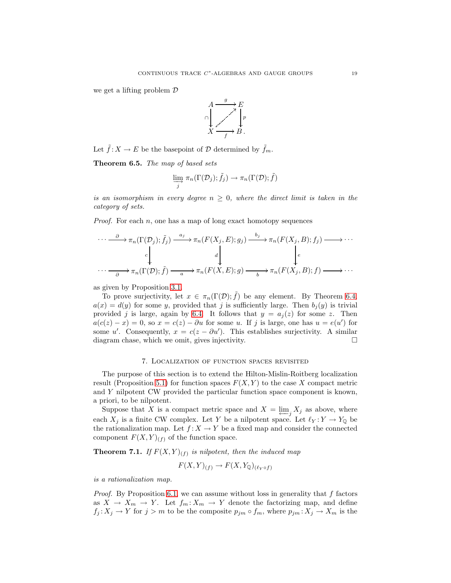we get a lifting problem D



<span id="page-19-2"></span>Let  $\tilde{f}: X \to E$  be the basepoint of  $\mathcal D$  determined by  $\tilde{f}_m$ .

Theorem 6.5. *The map of based sets*

$$
\varinjlim_{j} \pi_{n}(\Gamma(\mathcal{D}_{j}); \tilde{f}_{j}) \to \pi_{n}(\Gamma(\mathcal{D}); \tilde{f})
$$

*is an isomorphism in every degree*  $n \geq 0$ *, where the direct limit is taken in the category of sets.*

*Proof.* For each  $n$ , one has a map of long exact homotopy sequences

$$
\cdots \xrightarrow{\partial} \pi_n(\Gamma(\mathcal{D}_j); \tilde{f}_j) \xrightarrow{a_j} \pi_n(F(X_j, E); g_j) \xrightarrow{b_j} \pi_n(F(X_j, B); f_j) \longrightarrow \cdots
$$
  

$$
\cdot \cdots \xrightarrow{\partial} \pi_n(\Gamma(\mathcal{D}); \tilde{f}) \xrightarrow{a} \pi_n(F(X, E); g) \xrightarrow{b} \pi_n(F(X_j, B); f) \longrightarrow \cdots
$$

as given by Proposition [3.1.](#page-7-1)

To prove surjectivity, let  $x \in \pi_n(\Gamma(\mathcal{D}); \tilde{f})$  be any element. By Theorem [6.4,](#page-18-0)  $a(x) = d(y)$  for some y, provided that j is sufficiently large. Then  $b_i(y)$  is trivial provided j is large, again by [6.4.](#page-18-0) It follows that  $y = a_i(z)$  for some z. Then  $a(c(z) - x) = 0$ , so  $x = c(z) - \partial u$  for some u. If j is large, one has  $u = e(u')$  for some u'. Consequently,  $x = c(z - \partial u')$ . This establishes surjectivity. A similar diagram chase, which we omit, gives injectivity.

#### 7. Localization of function spaces revisited

<span id="page-19-0"></span>The purpose of this section is to extend the Hilton-Mislin-Roitberg localization result (Proposition [5.1\)](#page-12-2) for function spaces  $F(X, Y)$  to the case X compact metric and Y nilpotent CW provided the particular function space component is known, a priori, to be nilpotent.

Suppose that X is a compact metric space and  $X = \varprojlim_j X_j$  as above, where each  $X_j$  is a finite CW complex. Let Y be a nilpotent space. Let  $\ell_Y: Y \to Y_{\mathbb{Q}}$  be the rationalization map. Let  $f: X \to Y$  be a fixed map and consider the connected component  $F(X, Y)_{(f)}$  of the function space.

<span id="page-19-1"></span>**Theorem 7.1.** If  $F(X,Y)_{(f)}$  is nilpotent, then the induced map

$$
F(X, Y)_{(f)} \to F(X, Y_{\mathbb{Q}})_{(\ell_Y \circ f)}
$$

*is a rationalization map.*

*Proof.* By Proposition [6.1,](#page-16-2) we can assume without loss in generality that  $f$  factors as  $X \to X_m \to Y$ . Let  $f_m: X_m \to Y$  denote the factorizing map, and define  $f_j: X_j \to Y$  for  $j > m$  to be the composite  $p_{jm} \circ f_m$ , where  $p_{jm}: X_j \to X_m$  is the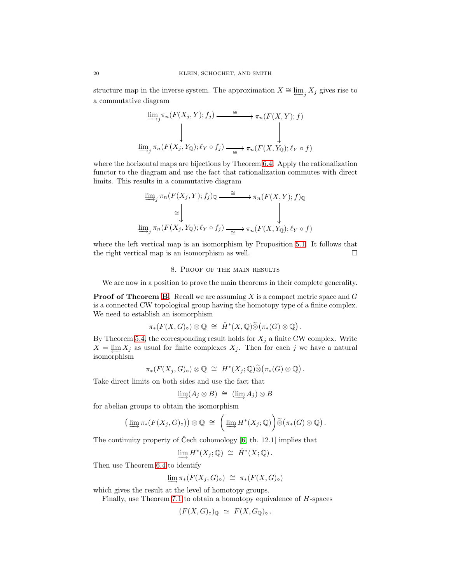structure map in the inverse system. The approximation  $X \cong \varprojlim_j X_j$  gives rise to a commutative diagram

$$
\underline{\lim_{j} \pi_n(F(X_j, Y); f_j) \xrightarrow{\cong} \pi_n(F(X, Y); f)}
$$
\n
$$
\underline{\lim_{j} \pi_n(F(X_j, Y_{\mathbb{Q}}); \ell_Y \circ f_j) \xrightarrow{\cong} \pi_n(F(X, Y_{\mathbb{Q}}); \ell_Y \circ f)}
$$

where the horizontal maps are bijections by Theorem [6.4.](#page-18-0) Apply the rationalization functor to the diagram and use the fact that rationalization commutes with direct limits. This results in a commutative diagram

$$
\underline{\lim}_{j} \pi_n(F(X_j, Y); f_j)_{\mathbb{Q}} \xrightarrow{\cong} \pi_n(F(X, Y); f)_{\mathbb{Q}}
$$
\n
$$
\underline{\lim}_{j} \pi_n(F(X_j, Y_{\mathbb{Q}}); \ell_Y \circ f_j) \xrightarrow{\cong} \pi_n(F(X, Y_{\mathbb{Q}}); \ell_Y \circ f)
$$

<span id="page-20-0"></span>where the left vertical map is an isomorphism by Proposition [5.1.](#page-12-2) It follows that the right vertical map is an isomorphism as well.

#### 8. Proof of the main results

We are now in a position to prove the main theorems in their complete generality.

**Proof of Theorem [B.](#page-3-0)** Recall we are assuming X is a compact metric space and  $G$ is a connected CW topological group having the homotopy type of a finite complex. We need to establish an isomorphism

$$
\pi_*(F(X,G)_{\circ})\otimes\mathbb{Q} \;\cong\; \check{H}^*(X,\mathbb{Q})\widetilde{\otimes} (\pi_*(G)\otimes\mathbb{Q})\,.
$$

By Theorem [5.4,](#page-13-2) the corresponding result holds for  $X_j$  a finite CW complex. Write  $X = \varprojlim X_j$  as usual for finite complexes  $X_j$ . Then for each j we have a natural isomorphism

$$
\pi_*(F(X_j,G)_{\circ})\otimes \mathbb{Q} \;\cong\; H^*(X_j;\mathbb{Q})\widetilde{\otimes} (\pi_*(G)\otimes \mathbb{Q})\,.
$$

Take direct limits on both sides and use the fact that

$$
\lim_{\longrightarrow} (A_j \otimes B) \cong (\lim_{\longrightarrow} A_j) \otimes B
$$

for abelian groups to obtain the isomorphism

$$
\left(\varinjlim \pi_*(F(X_j,G)_\circ)\right)\otimes \mathbb{Q} \;\cong\; \left(\varinjlim H^*(X_j;\mathbb{Q})\right) \widetilde{\otimes} \left(\pi_*(G) \otimes \mathbb{Q}\right).
$$

The continuity property of Čech cohomology  $[6, th. 12.1]$  implies that

$$
\varinjlim H^*(X_j; \mathbb{Q}) \cong \check{H}^*(X; \mathbb{Q}).
$$

Then use Theorem [6.4](#page-18-0) to identify

$$
\varinjlim \pi_*(F(X_j,G)_{\circ}) \cong \pi_*(F(X,G)_{\circ})
$$

which gives the result at the level of homotopy groups.

Finally, use Theorem [7.1](#page-19-1) to obtain a homotopy equivalence of H-spaces

$$
(F(X,G)_{\circ})_{\mathbb{Q}} \simeq F(X,G_{\mathbb{Q}})_{\circ}.
$$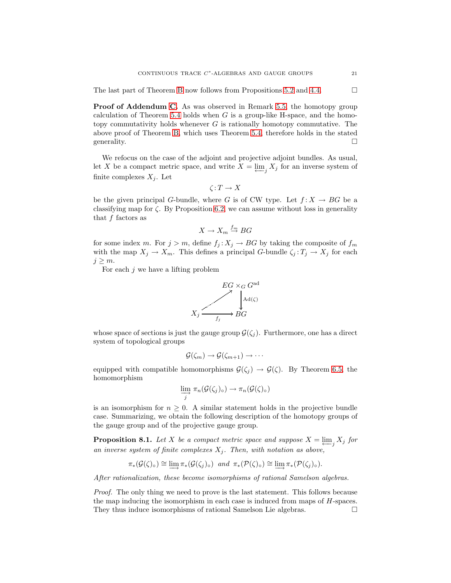The last part of Theorem [B](#page-3-0) now follows from Propositions [5.2](#page-12-4) and [4.4.](#page-10-1)  $\Box$ 

Proof of Addendum [C.](#page-3-2) As was observed in Remark [5.5,](#page-13-3) the homotopy group calculation of Theorem [5.4](#page-13-2) holds when  $G$  is a group-like H-space, and the homotopy commutativity holds whenever  $G$  is rationally homotopy commutative. The above proof of Theorem [B,](#page-3-0) which uses Theorem [5.4,](#page-13-2) therefore holds in the stated generality.  $\Box$ 

We refocus on the case of the adjoint and projective adjoint bundles. As usual, let X be a compact metric space, and write  $X = \varprojlim_j X_j$  for an inverse system of finite complexes  $X_j$ . Let

$$
\zeta\colon T\to X
$$

be the given principal G-bundle, where G is of CW type. Let  $f: X \to BG$  be a classifying map for  $\zeta$ . By Proposition [6.2,](#page-16-3) we can assume without loss in generality that  $f$  factors as

$$
X \to X_m \stackrel{f_m}{\to} BG
$$

for some index m. For  $j > m$ , define  $f_j: X_j \to BG$  by taking the composite of  $f_m$ with the map  $X_j \to X_m$ . This defines a principal G-bundle  $\zeta_j : T_j \to X_j$  for each  $j \geq m$ .

For each  $j$  we have a lifting problem



whose space of sections is just the gauge group  $\mathcal{G}(\zeta_i)$ . Furthermore, one has a direct system of topological groups

$$
\mathcal{G}(\zeta_m) \to \mathcal{G}(\zeta_{m+1}) \to \cdots
$$

equipped with compatible homomorphisms  $\mathcal{G}(\zeta_i) \to \mathcal{G}(\zeta)$ . By Theorem [6.5,](#page-19-2) the homomorphism

$$
\varinjlim_{j} \pi_{n}(\mathcal{G}(\zeta_{j})_{\circ}) \to \pi_{n}(\mathcal{G}(\zeta)_{\circ})
$$

is an isomorphism for  $n \geq 0$ . A similar statement holds in the projective bundle case. Summarizing, we obtain the following description of the homotopy groups of the gauge group and of the projective gauge group.

<span id="page-21-0"></span>**Proposition 8.1.** *Let* X *be a compact metric space and suppose*  $X = \varprojlim_j X_j$  *for* an inverse system of finite complexes  $X_i$ . Then, with notation as above,

$$
\pi_*(\mathcal{G}(\zeta)_\circ) \cong \varinjlim \pi_*(\mathcal{G}(\zeta_j)_\circ) \quad \text{and} \quad \pi_*(\mathcal{P}(\zeta)_\circ) \cong \varinjlim \pi_*(\mathcal{P}(\zeta_j)_\circ).
$$

*After rationalization, these become isomorphisms of rational Samelson algebras.*

*Proof.* The only thing we need to prove is the last statement. This follows because the map inducing the isomorphism in each case is induced from maps of H-spaces. They thus induce isomorphisms of rational Samelson Lie algebras.  $\square$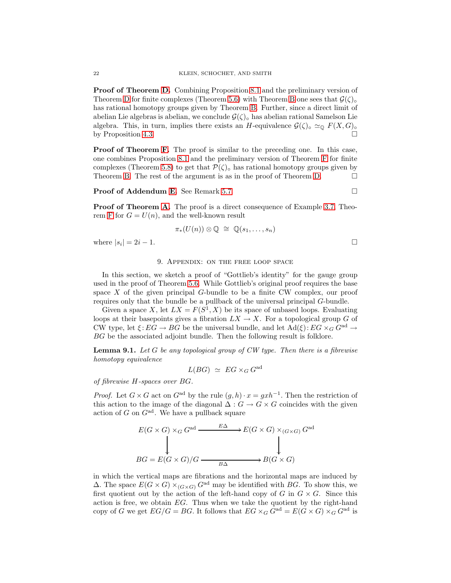Proof of Theorem [D.](#page-3-1) Combining Proposition [8.1](#page-21-0) and the preliminary version of Theorem [D](#page-3-1) for finite complexes (Theorem [5.6\)](#page-13-0) with Theorem [B](#page-3-0) one sees that  $\mathcal{G}(\zeta)_{\circ}$ has rational homotopy groups given by Theorem [B.](#page-3-0) Further, since a direct limit of abelian Lie algebras is abelian, we conclude  $\mathcal{G}(\zeta)_{\circ}$  has abelian rational Samelson Lie algebra. This, in turn, implies there exists an H-equivalence  $\mathcal{G}(\zeta)_{\circ} \simeq_{\mathbb{Q}} F(X, G)_{\circ}$ by Proposition [4.3.](#page-10-3)

**Proof of Theorem [F.](#page-4-1)** The proof is similar to the preceding one. In this case, one combines Proposition [8.1](#page-21-0) and the preliminary version of Theorem [F](#page-4-1) for finite complexes (Theorem [5.8\)](#page-14-0) to get that  $\mathcal{P}(\zeta)_{\circ}$  has rational homotopy groups given by Theorem [B.](#page-3-0) The rest of the argument is as in the proof of Theorem [D.](#page-3-1)  $\Box$ 

#### Proof of Addendum [E.](#page-4-0) See Remark [5.7.](#page-14-1) □

Proof of Theorem [A.](#page-2-0) The proof is a direct consequence of Example [3.7,](#page-9-1) Theo-rem [F](#page-4-1) for  $G = U(n)$ , and the well-known result

$$
\pi_*(U(n))\otimes\mathbb{Q}~\cong~\mathbb{Q}(s_1,\ldots,s_n)
$$

<span id="page-22-0"></span>where  $|s_i| = 2i - 1$ .

#### 9. Appendix: on the free loop space

In this section, we sketch a proof of "Gottlieb's identity" for the gauge group used in the proof of Theorem [5.6.](#page-13-0) While Gottlieb's original proof requires the base space  $X$  of the given principal  $G$ -bundle to be a finite CW complex, our proof requires only that the bundle be a pullback of the universal principal G-bundle.

Given a space X, let  $LX = F(S^1, X)$  be its space of unbased loops. Evaluating loops at their basepoints gives a fibration  $LX \to X$ . For a topological group G of CW type, let  $\xi: EG \to BG$  be the universal bundle, and let  $\text{Ad}(\xi): EG \times_G G^{\text{ad}} \to$ BG be the associated adjoint bundle. Then the following result is folklore.

<span id="page-22-1"></span>Lemma 9.1. *Let* G *be any topological group of CW type. Then there is a fibrewise homotopy equivalence*

$$
L(BG) \simeq EG \times_G G^{\text{ad}}
$$

*of fibrewise* H*-spaces over* BG*.*

*Proof.* Let  $G \times G$  act on  $G^{ad}$  by the rule  $(g, h) \cdot x = g x h^{-1}$ . Then the restriction of this action to the image of the diagonal  $\Delta: G \to G \times G$  coincides with the given action of G on  $G^{\text{ad}}$ . We have a pullback square

$$
E(G \times G) \times_G G^{ad} \xrightarrow{E\Delta} E(G \times G) \times_{(G \times G)} G^{ad}
$$
  
\n
$$
BG = E(G \times G)/G \xrightarrow{B\Delta} B(G \times G)
$$

in which the vertical maps are fibrations and the horizontal maps are induced by  $\Delta$ . The space  $E(G \times G) \times_{(G \times G)} G^{ad}$  may be identified with BG. To show this, we first quotient out by the action of the left-hand copy of  $G$  in  $G \times G$ . Since this action is free, we obtain EG. Thus when we take the quotient by the right-hand copy of G we get  $EG/G = BG$ . It follows that  $EG \times_G G^{ad} = E(G \times G) \times_G G^{ad}$  is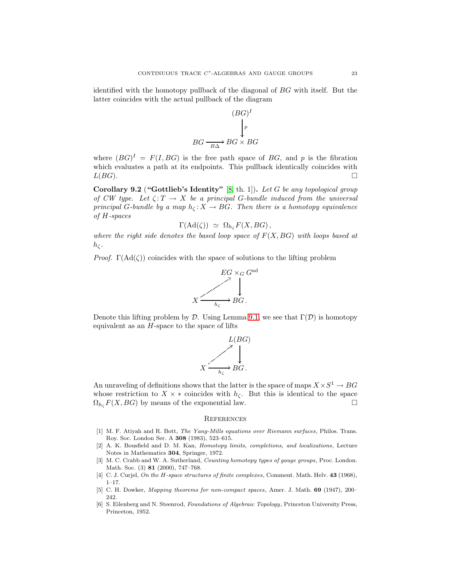identified with the homotopy pullback of the diagonal of BG with itself. But the latter coincides with the actual pullback of the diagram

$$
(BG)^{I}
$$
  
\n
$$
\downarrow p
$$
  
\n
$$
BG \xrightarrow{BA} BG \times BG
$$

where  $(BG)^{I} = F(I, BG)$  is the free path space of BG, and p is the fibration which evaluates a path at its endpoints. This pullback identically coincides with  $L(BG)$ .

<span id="page-23-4"></span>Corollary 9.2 ("Gottlieb's Identity" [\[8,](#page-24-5) th. 1]). *Let* G *be any topological group of CW type.* Let  $\zeta: T \to X$  be a principal G-bundle induced from the universal *principal* G-bundle by a map  $h_c: X \to BG$ . Then there is a homotopy equivalence *of* H*-spaces*

$$
\Gamma(\mathrm{Ad}(\zeta)) \simeq \Omega_{h_{\zeta}} F(X, BG) ,
$$

*where the right side denotes the based loop space of* F(X, BG) *with loops based at*  $h_{\zeta}$ .

*Proof.*  $\Gamma(\text{Ad}(\zeta))$  coincides with the space of solutions to the lifting problem



Denote this lifting problem by D. Using Lemma [9.1,](#page-22-1) we see that  $\Gamma(\mathcal{D})$  is homotopy equivalent as an  $H$ -space to the space of lifts



An unraveling of definitions shows that the latter is the space of maps  $X \times S^1 \to BG$ whose restriction to  $X \times *$  coincides with  $h_{\zeta}$ . But this is identical to the space  $\Omega_{h_c} F(X, BG)$  by means of the exponential law.

#### **REFERENCES**

- <span id="page-23-3"></span><span id="page-23-0"></span>[1] M. F. Atiyah and R. Bott, *The Yang-Mills equations over Riemann surfaces*, Philos. Trans. Roy. Soc. London Ser. A 308 (1983), 523–615.
- <span id="page-23-2"></span>[2] A. K. Bousfield and D. M. Kan, *Homotopy limits, completions, and localizations*, Lecture Notes in Mathematics 304, Springer, 1972.
- <span id="page-23-5"></span>[3] M. C. Crabb and W. A. Sutherland, *Counting homotopy types of gauge groups*, Proc. London. Math. Soc. (3) **81** (2000), 747-768.
- <span id="page-23-7"></span><span id="page-23-1"></span>[4] C. J. Curjel, *On the* H*-space structures of finite complexes*, Comment. Math. Helv. 43 (1968),  $1-17$ .
- [5] C. H. Dowker, *Mapping theorems for non-compact spaces*, Amer. J. Math. 69 (1947), 200– 242.
- <span id="page-23-6"></span>[6] S. Eilenberg and N. Steenrod, *Foundations of Algebraic Topology*, Princeton University Press, Princeton, 1952.